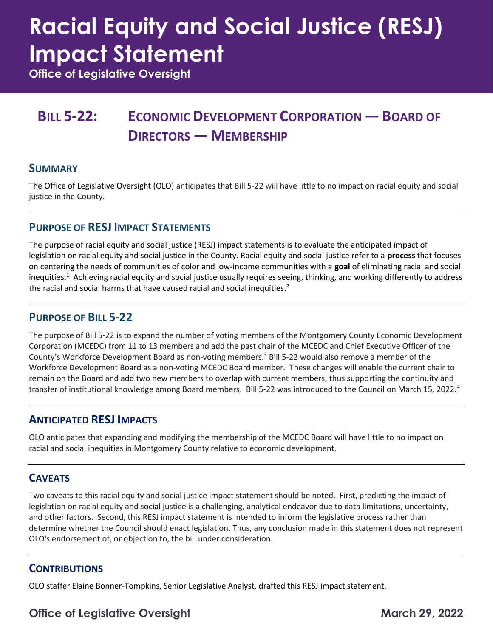# Racial Equity and Social Justice (RESJ) Impact Statement

Office of Legislative Oversight

## BILL 5-22: ECONOMIC DEVELOPMENT CORPORATION — BOARD OF DIRECTORS — MEMBERSHIP

#### **SUMMARY**

 The Office of Legislative Oversight (OLO) anticipates that Bill 5-22 will have little to no impact on racial equity and social justice in the County.

#### PURPOSE OF RESJ IMPACT STATEMENTS

 The purpose of racial equity and social justice (RESJ) impact statements is to evaluate the anticipated impact of legislation on racial equity and social justice in the County. Racial equity and social justice refer to a process that focuses on centering the needs of communities of color and low-income communities with a goal of eliminating racial and social inequities.<sup>1</sup> Achieving racial equity and social justice usually requires seeing, thinking, and working differently to address the racial and social harms that have caused racial and social inequities.<sup>2</sup>

#### PURPOSE OF BILL 5-22

 The purpose of Bill 5-22 is to expand the number of voting members of the Montgomery County Economic Development Corporation (MCEDC) from 11 to 13 members and add the past chair of the MCEDC and Chief Executive Officer of the County's Workforce Development Board as non-voting members.<sup>3</sup> Bill 5-22 would also remove a member of the Workforce Development Board as a non-voting MCEDC Board member. These changes will enable the current chair to remain on the Board and add two new members to overlap with current members, thus supporting the continuity and transfer of institutional knowledge among Board members. Bill 5-22 was introduced to the Council on March 15, 2022.<sup>4</sup>

#### ANTICIPATED RESJ IMPACTS

 OLO anticipates that expanding and modifying the membership of the MCEDC Board will have little to no impact on racial and social inequities in Montgomery County relative to economic development.

#### **CAVEATS**

 Two caveats to this racial equity and social justice impact statement should be noted. First, predicting the impact of legislation on racial equity and social justice is a challenging, analytical endeavor due to data limitations, uncertainty, and other factors. Second, this RESJ impact statement is intended to inform the legislative process rather than determine whether the Council should enact legislation. Thus, any conclusion made in this statement does not represent OLO's endorsement of, or objection to, the bill under consideration.

#### **CONTRIBUTIONS**

OLO staffer Elaine Bonner-Tompkins, Senior Legislative Analyst, drafted this RESJ impact statement.

### Office of Legislative Oversight March 29, 2022